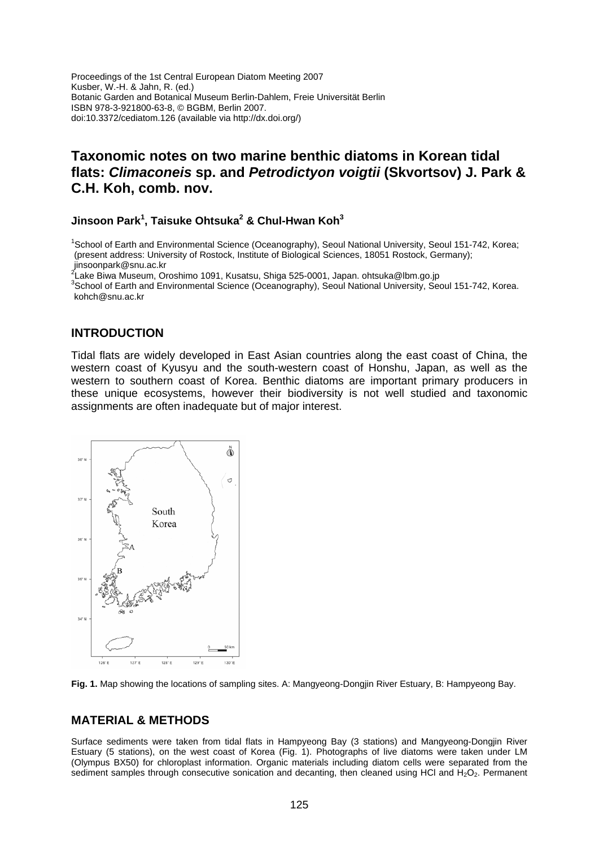Proceedings of the 1st Central European Diatom Meeting 2007 Kusber, W.-H. & Jahn, R. (ed.) Botanic Garden and Botanical Museum Berlin-Dahlem, Freie Universität Berlin ISBN 978-3-921800-63-8, © BGBM, Berlin 2007. doi:10.3372/cediatom.126 (available via http://dx.doi.org/)

# **Taxonomic notes on two marine benthic diatoms in Korean tidal flats:** *Climaconeis* **sp. and** *Petrodictyon voigtii* **(Skvortsov) J. Park & C.H. Koh, comb. nov.**

**Jinsoon Park<sup>1</sup> , Taisuke Ohtsuka<sup>2</sup> & Chul-Hwan Koh<sup>3</sup>**

<sup>1</sup>School of Earth and Environmental Science (Oceanography), Seoul National University, Seoul 151-742, Korea; (present address: University of Rostock, Institute of Biological Sciences, 18051 Rostock, Germany);

jinsoonpark@snu.ac.kr<br><sup>2</sup>Lake Biwa Museum, Oroshimo 1091, Kusatsu, Shiga 525-0001, Japan. ohtsuka@lbm.go.jp<br><sup>3</sup>Sebeel of Ferth and Environmental Science (Oceanography), Seoul National University, Seo

3 School of Earth and Environmental Science (Oceanography), Seoul National University, Seoul 151-742, Korea. kohch@snu.ac.kr

#### **INTRODUCTION**

Tidal flats are widely developed in East Asian countries along the east coast of China, the western coast of Kyusyu and the south-western coast of Honshu, Japan, as well as the western to southern coast of Korea. Benthic diatoms are important primary producers in these unique ecosystems, however their biodiversity is not well studied and taxonomic assignments are often inadequate but of major interest.



**Fig. 1.** Map showing the locations of sampling sites. A: Mangyeong-Dongjin River Estuary, B: Hampyeong Bay.

#### **MATERIAL & METHODS**

Surface sediments were taken from tidal flats in Hampyeong Bay (3 stations) and Mangyeong-Dongjin River Estuary (5 stations), on the west coast of Korea (Fig. 1). Photographs of live diatoms were taken under LM (Olympus BX50) for chloroplast information. Organic materials including diatom cells were separated from the sediment samples through consecutive sonication and decanting, then cleaned using HCl and  $H_2O_2$ . Permanent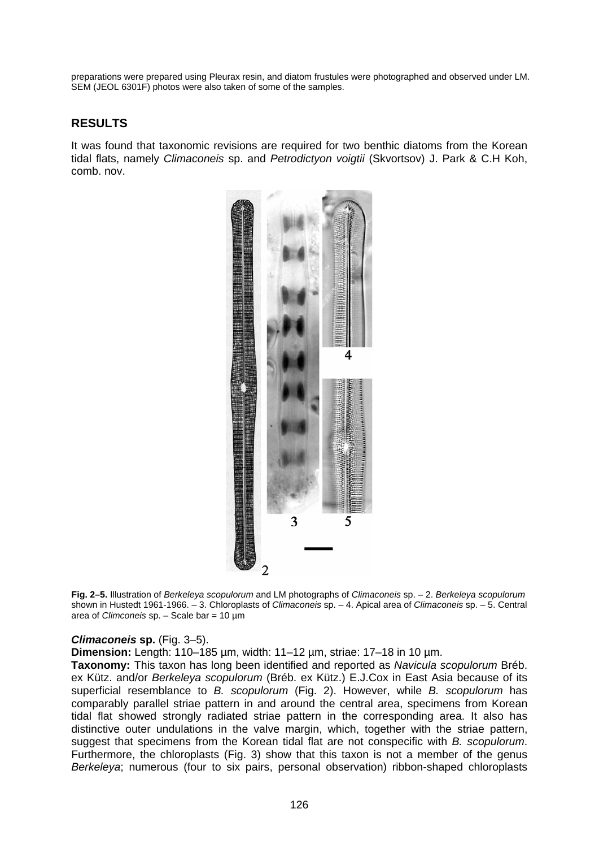preparations were prepared using Pleurax resin, and diatom frustules were photographed and observed under LM. SEM (JEOL 6301F) photos were also taken of some of the samples.

## **RESULTS**

It was found that taxonomic revisions are required for two benthic diatoms from the Korean tidal flats, namely *Climaconeis* sp. and *Petrodictyon voigtii* (Skvortsov) J. Park & C.H Koh, comb. nov.



**Fig. 2–5.** Illustration of *Berkeleya scopulorum* and LM photographs of *Climaconeis* sp. – 2. *Berkeleya scopulorum* shown in Hustedt 1961-1966. – 3. Chloroplasts of *Climaconeis* sp. – 4. Apical area of *Climaconeis* sp. – 5. Central area of *Climconeis* sp. – Scale bar = 10 µm

#### *Climaconeis* **sp.** (Fig. 3–5).

**Dimension:** Length: 110–185 µm, width: 11–12 µm, striae: 17–18 in 10 µm.

**Taxonomy:** This taxon has long been identified and reported as *Navicula scopulorum* Bréb. ex Kütz. and/or *Berkeleya scopulorum* (Bréb. ex Kütz.) E.J.Cox in East Asia because of its superficial resemblance to *B. scopulorum* (Fig. 2). However, while *B. scopulorum* has comparably parallel striae pattern in and around the central area, specimens from Korean tidal flat showed strongly radiated striae pattern in the corresponding area. It also has distinctive outer undulations in the valve margin, which, together with the striae pattern, suggest that specimens from the Korean tidal flat are not conspecific with *B. scopulorum*. Furthermore, the chloroplasts (Fig. 3) show that this taxon is not a member of the genus *Berkeleya*; numerous (four to six pairs, personal observation) ribbon-shaped chloroplasts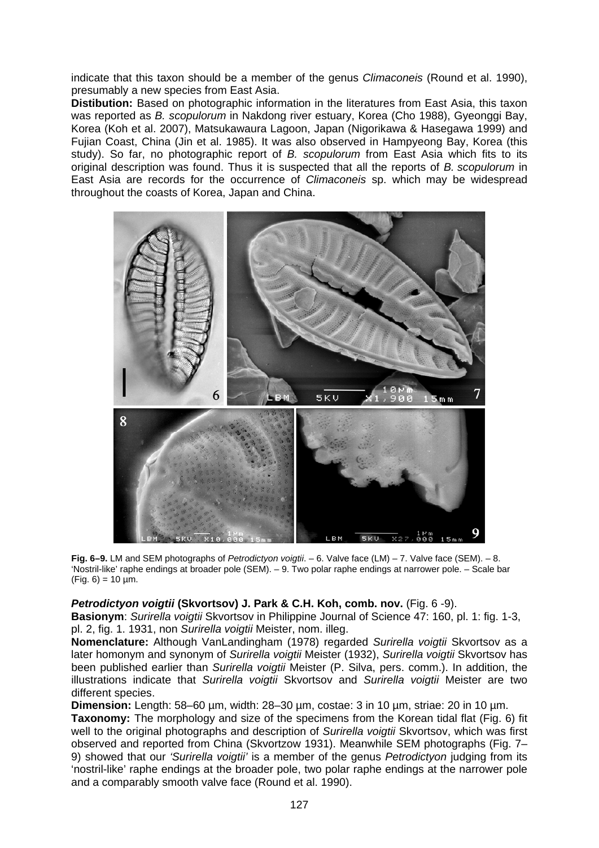indicate that this taxon should be a member of the genus *Climaconeis* (Round et al. 1990), presumably a new species from East Asia.

**Distibution:** Based on photographic information in the literatures from East Asia, this taxon was reported as *B. scopulorum* in Nakdong river estuary, Korea (Cho 1988), Gyeonggi Bay, Korea (Koh et al. 2007), Matsukawaura Lagoon, Japan (Nigorikawa & Hasegawa 1999) and Fujian Coast, China (Jin et al. 1985). It was also observed in Hampyeong Bay, Korea (this study). So far, no photographic report of *B. scopulorum* from East Asia which fits to its original description was found. Thus it is suspected that all the reports of *B. scopulorum* in East Asia are records for the occurrence of *Climaconeis* sp. which may be widespread throughout the coasts of Korea, Japan and China.



**Fig. 6–9.** LM and SEM photographs of *Petrodictyon voigtii*. – 6. Valve face (LM) – 7. Valve face (SEM). – 8. 'Nostril-like' raphe endings at broader pole (SEM). – 9. Two polar raphe endings at narrower pole. – Scale bar  $(Fiq. 6) = 10 \mu m.$ 

#### *Petrodictyon voigtii* **(Skvortsov) J. Park & C.H. Koh, comb. nov.** (Fig. 6 -9).

**Basionym**: *Surirella voigtii* Skvortsov in Philippine Journal of Science 47: 160, pl. 1: fig. 1-3, pl. 2, fig. 1. 1931, non *Surirella voigtii* Meister, nom. illeg.

**Nomenclature:** Although VanLandingham (1978) regarded *Surirella voigtii* Skvortsov as a later homonym and synonym of *Surirella voigtii* Meister (1932), *Surirella voigtii* Skvortsov has been published earlier than *Surirella voigtii* Meister (P. Silva, pers. comm.). In addition, the illustrations indicate that *Surirella voigtii* Skvortsov and *Surirella voigtii* Meister are two different species.

**Dimension:** Length: 58–60 µm, width: 28–30 µm, costae: 3 in 10 µm, striae: 20 in 10 µm. **Taxonomy:** The morphology and size of the specimens from the Korean tidal flat (Fig. 6) fit well to the original photographs and description of *Surirella voigtii* Skvortsov, which was first observed and reported from China (Skvortzow 1931). Meanwhile SEM photographs (Fig. 7– 9) showed that our *'Surirella voigtii'* is a member of the genus *Petrodictyon* judging from its 'nostril-like' raphe endings at the broader pole, two polar raphe endings at the narrower pole and a comparably smooth valve face (Round et al. 1990).